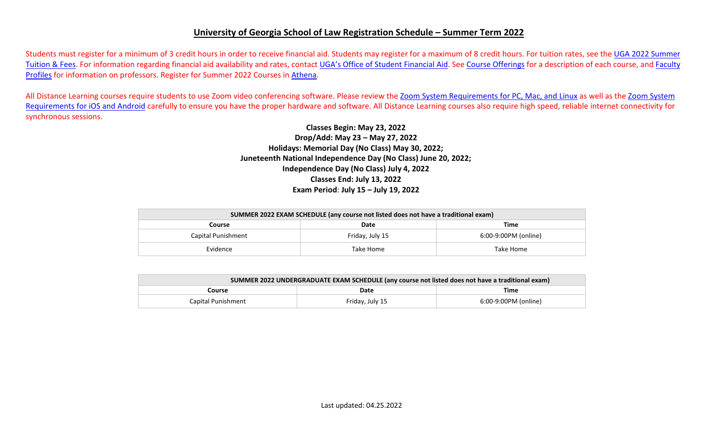## **University of Georgia School of Law Registration Schedule – Summer Term 2022**

Students must register for a minimum of 3 credit hours in order to receive financial aid. Students may register for a maximum of 8 credit hours. For tuition rates, see the UGA 2022 Summer [Tuition & Fees.](https://busfin.uga.edu/bursar/bursar_tuition_sum_2022/) For information regarding financial aid availability and rates, contact [UGA's Office of Student Financial Aid.](https://osfa.uga.edu/) See [Course Offerings](http://www.law.uga.edu/course-offerings) for a description of each course, and [Faculty](http://www.law.uga.edu/faculty-profiles) [Profiles](http://www.law.uga.edu/faculty-profiles) for information on professors. Register for Summer 2022 Courses in [Athena.](http://www.athena.uga.edu/)

All Distance Learning courses require students to use Zoom video conferencing software. Please review the [Zoom System Requirements for PC, Mac, and](https://support.zoom.us/hc/en-us/articles/201362023-System-Requirements-for-PC-Mac-and-Linux) Linux as well as the [Zoom System](https://support.zoom.us/hc/en-us/articles/201179966-System-Requirements-for-iOS-and-Android) [Requirements for iOS and Android](https://support.zoom.us/hc/en-us/articles/201179966-System-Requirements-for-iOS-and-Android) carefully to ensure you have the proper hardware and software. All Distance Learning courses also require high speed, reliable internet connectivity for synchronous sessions.

> **Classes Begin: May 23, 2022 Drop/Add: May 23 – May 27, 2022 Holidays: Memorial Day (No Class) May 30, 2022; Juneteenth National Independence Day (No Class) June 20, 2022; Independence Day (No Class) July 4, 2022 Classes End: July 13, 2022 Exam Period**: **July 15 – July 19, 2022**

| SUMMER 2022 EXAM SCHEDULE (any course not listed does not have a traditional exam) |                 |                      |  |  |  |  |  |
|------------------------------------------------------------------------------------|-----------------|----------------------|--|--|--|--|--|
| Course                                                                             | Date            |                      |  |  |  |  |  |
| Capital Punishment                                                                 | Friday, July 15 | 6:00-9:00PM (online) |  |  |  |  |  |
| Evidence                                                                           | Take Home       | Take Home            |  |  |  |  |  |

| SUMMER 2022 UNDERGRADUATE EXAM SCHEDULE (any course not listed does not have a traditional exam) |                 |                      |  |  |  |  |  |
|--------------------------------------------------------------------------------------------------|-----------------|----------------------|--|--|--|--|--|
| Course                                                                                           | Time            |                      |  |  |  |  |  |
| Capital Punishment                                                                               | Friday, July 15 | 6:00-9:00PM (online) |  |  |  |  |  |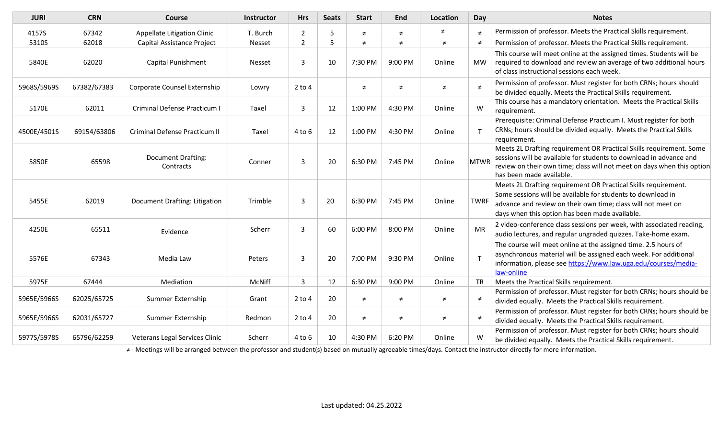| <b>JURI</b> | <b>CRN</b>  | <b>Course</b>                   | <b>Instructor</b> | <b>Hrs</b>     | <b>Seats</b> | <b>Start</b> | End     | <b>Location</b> | Day         | <b>Notes</b>                                                                                                                                                                                                                                    |
|-------------|-------------|---------------------------------|-------------------|----------------|--------------|--------------|---------|-----------------|-------------|-------------------------------------------------------------------------------------------------------------------------------------------------------------------------------------------------------------------------------------------------|
| 4157S       | 67342       | Appellate Litigation Clinic     | T. Burch          | $\overline{2}$ | 5            | ≠            | $\neq$  | ≠               | $\neq$      | Permission of professor. Meets the Practical Skills requirement.                                                                                                                                                                                |
| 5310S       | 62018       | Capital Assistance Project      | Nesset            | $\overline{2}$ | 5            | $\neq$       | $\neq$  | $\neq$          | $\neq$      | Permission of professor. Meets the Practical Skills requirement.                                                                                                                                                                                |
| 5840E       | 62020       | Capital Punishment              | Nesset            | 3              | 10           | 7:30 PM      | 9:00 PM | Online          | MW          | This course will meet online at the assigned times. Students will be<br>required to download and review an average of two additional hours<br>of class instructional sessions each week.                                                        |
| 5968S/5969S | 67382/67383 | Corporate Counsel Externship    | Lowry             | $2$ to $4$     |              | $\neq$       | $\neq$  | $\neq$          | $\neq$      | Permission of professor. Must register for both CRNs; hours should<br>be divided equally. Meets the Practical Skills requirement.                                                                                                               |
| 5170E       | 62011       | Criminal Defense Practicum I    | Taxel             | 3              | 12           | 1:00 PM      | 4:30 PM | Online          | W           | This course has a mandatory orientation. Meets the Practical Skills<br>requirement.                                                                                                                                                             |
| 4500E/4501S | 69154/63806 | Criminal Defense Practicum II   | Taxel             | $4$ to $6$     | 12           | 1:00 PM      | 4:30 PM | Online          |             | Prerequisite: Criminal Defense Practicum I. Must register for both<br>CRNs; hours should be divided equally. Meets the Practical Skills<br>requirement.                                                                                         |
| 5850E       | 65598       | Document Drafting:<br>Contracts | Conner            | 3              | 20           | 6:30 PM      | 7:45 PM | Online          | MTWR        | Meets 2L Drafting requirement OR Practical Skills requirement. Some<br>sessions will be available for students to download in advance and<br>review on their own time; class will not meet on days when this option<br>has been made available. |
| 5455E       | 62019       | Document Drafting: Litigation   | Trimble           | 3              | 20           | 6:30 PM      | 7:45 PM | Online          | <b>TWRF</b> | Meets 2L Drafting requirement OR Practical Skills requirement.<br>Some sessions will be available for students to download in<br>advance and review on their own time; class will not meet on<br>days when this option has been made available. |
| 4250E       | 65511       | Evidence                        | Scherr            | 3              | 60           | 6:00 PM      | 8:00 PM | Online          | <b>MR</b>   | 2 video-conference class sessions per week, with associated reading,<br>audio lectures, and regular ungraded quizzes. Take-home exam.                                                                                                           |
| 5576E       | 67343       | Media Law                       | Peters            | $\overline{3}$ | 20           | 7:00 PM      | 9:30 PM | Online          |             | The course will meet online at the assigned time. 2.5 hours of<br>asynchronous material will be assigned each week. For additional<br>information, please see https://www.law.uga.edu/courses/media-<br>law-online                              |
| 5975E       | 67444       | Mediation                       | McNiff            | 3              | 12           | 6:30 PM      | 9:00 PM | Online          | <b>TR</b>   | Meets the Practical Skills requirement.                                                                                                                                                                                                         |
| 5965E/5966S | 62025/65725 | Summer Externship               | Grant             | $2$ to $4$     | 20           | $\neq$       | $\neq$  | $\neq$          | ≠           | Permission of professor. Must register for both CRNs; hours should be<br>divided equally. Meets the Practical Skills requirement.                                                                                                               |
| 5965E/5966S | 62031/65727 | Summer Externship               | Redmon            | $2$ to $4$     | 20           | $\neq$       | $\neq$  | $\neq$          | $\neq$      | Permission of professor. Must register for both CRNs; hours should be<br>divided equally. Meets the Practical Skills requirement.                                                                                                               |
| 5977S/5978S | 65796/62259 | Veterans Legal Services Clinic  | Scherr            | $4$ to $6$     | 10           | 4:30 PM      | 6:20 PM | Online          | W           | Permission of professor. Must register for both CRNs; hours should<br>be divided equally. Meets the Practical Skills requirement.                                                                                                               |

≠ - Meetings will be arranged between the professor and student(s) based on mutually agreeable times/days. Contact the instructor directly for more information.